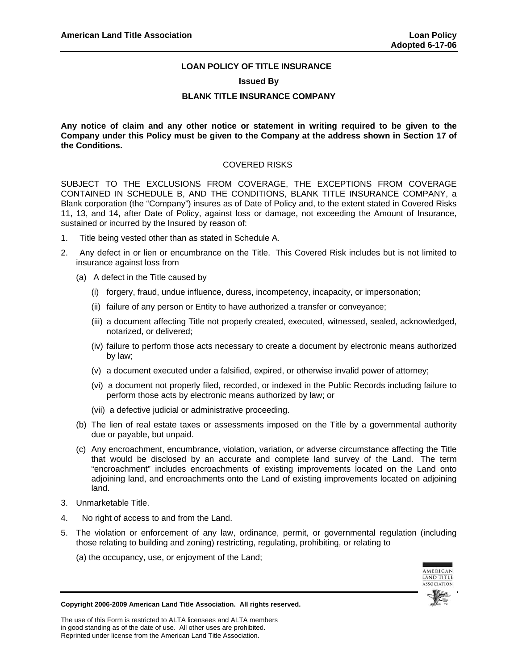# **LOAN POLICY OF TITLE INSURANCE**

#### **Issued By**

#### **BLANK TITLE INSURANCE COMPANY**

**Any notice of claim and any other notice or statement in writing required to be given to the Company under this Policy must be given to the Company at the address shown in Section 17 of the Conditions.**

### COVERED RISKS

SUBJECT TO THE EXCLUSIONS FROM COVERAGE, THE EXCEPTIONS FROM COVERAGE CONTAINED IN SCHEDULE B, AND THE CONDITIONS, BLANK TITLE INSURANCE COMPANY, a Blank corporation (the "Company") insures as of Date of Policy and, to the extent stated in Covered Risks 11, 13, and 14, after Date of Policy, against loss or damage, not exceeding the Amount of Insurance, sustained or incurred by the Insured by reason of:

- 1. Title being vested other than as stated in Schedule A.
- 2. Any defect in or lien or encumbrance on the Title. This Covered Risk includes but is not limited to insurance against loss from
	- (a) A defect in the Title caused by
		- (i) forgery, fraud, undue influence, duress, incompetency, incapacity, or impersonation;
		- (ii) failure of any person or Entity to have authorized a transfer or conveyance;
		- (iii) a document affecting Title not properly created, executed, witnessed, sealed, acknowledged, notarized, or delivered;
		- (iv) failure to perform those acts necessary to create a document by electronic means authorized by law;
		- (v) a document executed under a falsified, expired, or otherwise invalid power of attorney;
		- (vi) a document not properly filed, recorded, or indexed in the Public Records including failure to perform those acts by electronic means authorized by law; or
		- (vii) a defective judicial or administrative proceeding.
	- (b) The lien of real estate taxes or assessments imposed on the Title by a governmental authority due or payable, but unpaid.
	- (c) Any encroachment, encumbrance, violation, variation, or adverse circumstance affecting the Title that would be disclosed by an accurate and complete land survey of the Land. The term "encroachment" includes encroachments of existing improvements located on the Land onto adjoining land, and encroachments onto the Land of existing improvements located on adjoining land.
- 3. Unmarketable Title.
- 4. No right of access to and from the Land.
- 5. The violation or enforcement of any law, ordinance, permit, or governmental regulation (including those relating to building and zoning) restricting, regulating, prohibiting, or relating to
	- (a) the occupancy, use, or enjoyment of the Land;



**Copyright 2006-2009 American Land Title Association. All rights reserved.**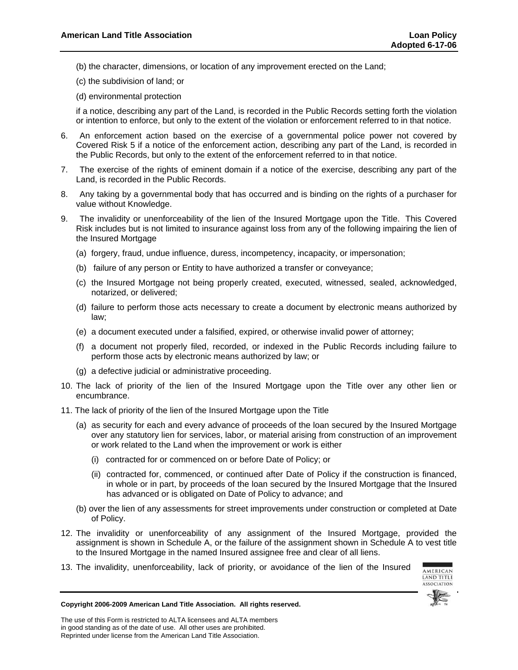- (b) the character, dimensions, or location of any improvement erected on the Land;
- (c) the subdivision of land; or
- (d) environmental protection

if a notice, describing any part of the Land, is recorded in the Public Records setting forth the violation or intention to enforce, but only to the extent of the violation or enforcement referred to in that notice.

- 6. An enforcement action based on the exercise of a governmental police power not covered by Covered Risk 5 if a notice of the enforcement action, describing any part of the Land, is recorded in the Public Records, but only to the extent of the enforcement referred to in that notice.
- 7. The exercise of the rights of eminent domain if a notice of the exercise, describing any part of the Land, is recorded in the Public Records.
- 8. Any taking by a governmental body that has occurred and is binding on the rights of a purchaser for value without Knowledge.
- 9. The invalidity or unenforceability of the lien of the Insured Mortgage upon the Title. This Covered Risk includes but is not limited to insurance against loss from any of the following impairing the lien of the Insured Mortgage
	- (a) forgery, fraud, undue influence, duress, incompetency, incapacity, or impersonation;
	- (b) failure of any person or Entity to have authorized a transfer or conveyance;
	- (c) the Insured Mortgage not being properly created, executed, witnessed, sealed, acknowledged, notarized, or delivered;
	- (d) failure to perform those acts necessary to create a document by electronic means authorized by law;
	- (e) a document executed under a falsified, expired, or otherwise invalid power of attorney;
	- (f) a document not properly filed, recorded, or indexed in the Public Records including failure to perform those acts by electronic means authorized by law; or
	- (g) a defective judicial or administrative proceeding.
- 10. The lack of priority of the lien of the Insured Mortgage upon the Title over any other lien or encumbrance.
- 11. The lack of priority of the lien of the Insured Mortgage upon the Title
	- (a) as security for each and every advance of proceeds of the loan secured by the Insured Mortgage over any statutory lien for services, labor, or material arising from construction of an improvement or work related to the Land when the improvement or work is either
		- (i) contracted for or commenced on or before Date of Policy; or
		- (ii) contracted for, commenced, or continued after Date of Policy if the construction is financed, in whole or in part, by proceeds of the loan secured by the Insured Mortgage that the Insured has advanced or is obligated on Date of Policy to advance; and
	- (b) over the lien of any assessments for street improvements under construction or completed at Date of Policy.
- 12. The invalidity or unenforceability of any assignment of the Insured Mortgage, provided the assignment is shown in Schedule A, or the failure of the assignment shown in Schedule A to vest title to the Insured Mortgage in the named Insured assignee free and clear of all liens.
- 13. The invalidity, unenforceability, lack of priority, or avoidance of the lien of the Insured



**Copyright 2006-2009 American Land Title Association. All rights reserved.**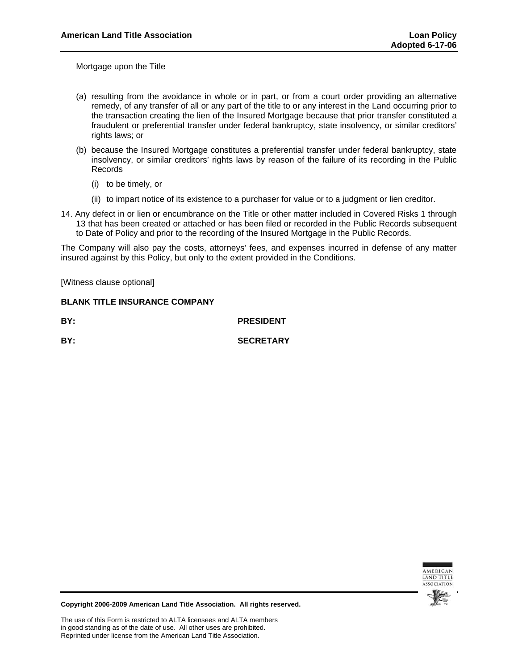Mortgage upon the Title

- (a) resulting from the avoidance in whole or in part, or from a court order providing an alternative remedy, of any transfer of all or any part of the title to or any interest in the Land occurring prior to the transaction creating the lien of the Insured Mortgage because that prior transfer constituted a fraudulent or preferential transfer under federal bankruptcy, state insolvency, or similar creditors' rights laws; or
- (b) because the Insured Mortgage constitutes a preferential transfer under federal bankruptcy, state insolvency, or similar creditors' rights laws by reason of the failure of its recording in the Public Records
	- (i) to be timely, or
	- (ii) to impart notice of its existence to a purchaser for value or to a judgment or lien creditor.
- 14. Any defect in or lien or encumbrance on the Title or other matter included in Covered Risks 1 through 13 that has been created or attached or has been filed or recorded in the Public Records subsequent to Date of Policy and prior to the recording of the Insured Mortgage in the Public Records.

The Company will also pay the costs, attorneys' fees, and expenses incurred in defense of any matter insured against by this Policy, but only to the extent provided in the Conditions.

[Witness clause optional]

### **BLANK TITLE INSURANCE COMPANY**

**BY: PRESIDENT** 

**BY: SECRETARY** 





**Copyright 2006-2009 American Land Title Association. All rights reserved.**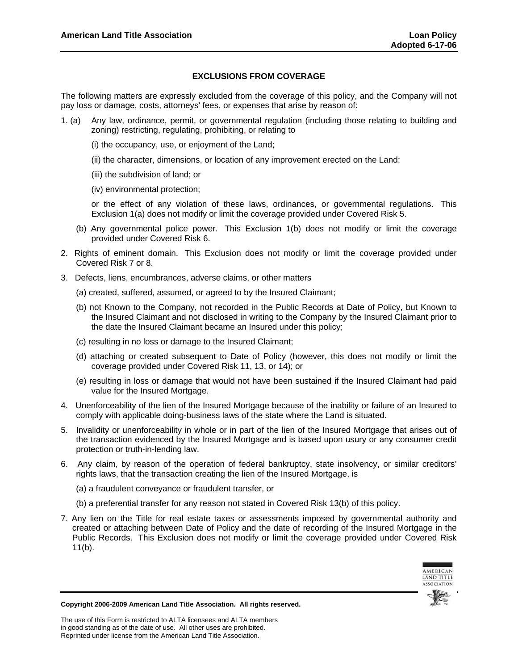### **EXCLUSIONS FROM COVERAGE**

The following matters are expressly excluded from the coverage of this policy, and the Company will not pay loss or damage, costs, attorneys' fees, or expenses that arise by reason of:

- 1. (a) Any law, ordinance, permit, or governmental regulation (including those relating to building and zoning) restricting, regulating, prohibiting, or relating to
	- (i) the occupancy, use, or enjoyment of the Land;
	- (ii) the character, dimensions, or location of any improvement erected on the Land;
	- (iii) the subdivision of land; or
	- (iv) environmental protection;

or the effect of any violation of these laws, ordinances, or governmental regulations. This Exclusion 1(a) does not modify or limit the coverage provided under Covered Risk 5.

- (b) Any governmental police power. This Exclusion 1(b) does not modify or limit the coverage provided under Covered Risk 6.
- 2. Rights of eminent domain. This Exclusion does not modify or limit the coverage provided under Covered Risk 7 or 8.
- 3. Defects, liens, encumbrances, adverse claims, or other matters
	- (a) created, suffered, assumed, or agreed to by the Insured Claimant;
	- (b) not Known to the Company, not recorded in the Public Records at Date of Policy, but Known to the Insured Claimant and not disclosed in writing to the Company by the Insured Claimant prior to the date the Insured Claimant became an Insured under this policy;
	- (c) resulting in no loss or damage to the Insured Claimant;
	- (d) attaching or created subsequent to Date of Policy (however, this does not modify or limit the coverage provided under Covered Risk 11, 13, or 14); or
	- (e) resulting in loss or damage that would not have been sustained if the Insured Claimant had paid value for the Insured Mortgage.
- 4. Unenforceability of the lien of the Insured Mortgage because of the inability or failure of an Insured to comply with applicable doing-business laws of the state where the Land is situated.
- 5. Invalidity or unenforceability in whole or in part of the lien of the Insured Mortgage that arises out of the transaction evidenced by the Insured Mortgage and is based upon usury or any consumer credit protection or truth-in-lending law.
- 6. Any claim, by reason of the operation of federal bankruptcy, state insolvency, or similar creditors' rights laws, that the transaction creating the lien of the Insured Mortgage, is
	- (a) a fraudulent conveyance or fraudulent transfer, or
	- (b) a preferential transfer for any reason not stated in Covered Risk 13(b) of this policy.
- 7. Any lien on the Title for real estate taxes or assessments imposed by governmental authority and created or attaching between Date of Policy and the date of recording of the Insured Mortgage in the Public Records. This Exclusion does not modify or limit the coverage provided under Covered Risk 11(b).



**Copyright 2006-2009 American Land Title Association. All rights reserved.**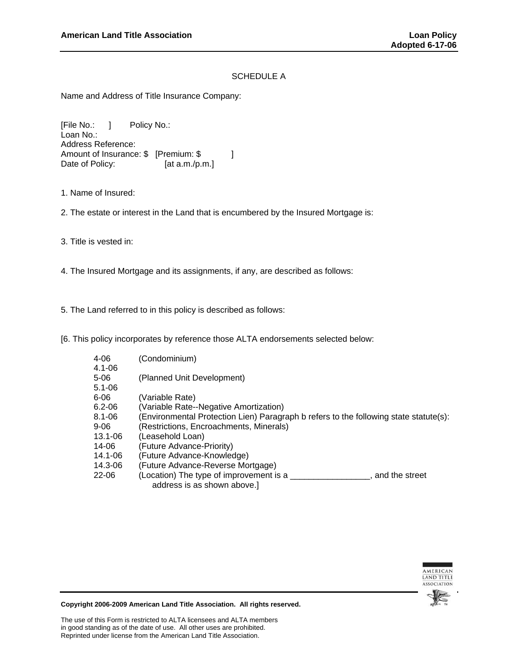# SCHEDULE A

Name and Address of Title Insurance Company:

[File No.: ] Policy No.: Loan No.: Address Reference: Amount of Insurance: \$ [Premium: \$ ] Date of Policy: [at a.m./p.m.]

- 1. Name of Insured:
- 2. The estate or interest in the Land that is encumbered by the Insured Mortgage is:
- 3. Title is vested in:
- 4. The Insured Mortgage and its assignments, if any, are described as follows:

5. The Land referred to in this policy is described as follows:

[6. This policy incorporates by reference those ALTA endorsements selected below:

| 4-06        | (Condominium)                                                                         |
|-------------|---------------------------------------------------------------------------------------|
| $4.1 - 06$  |                                                                                       |
| $5-06$      | (Planned Unit Development)                                                            |
| $5.1 - 06$  |                                                                                       |
| $6 - 06$    | (Variable Rate)                                                                       |
| $6.2 - 06$  | (Variable Rate--Negative Amortization)                                                |
| $8.1 - 06$  | (Environmental Protection Lien) Paragraph b refers to the following state statute(s): |
| $9 - 06$    | (Restrictions, Encroachments, Minerals)                                               |
| $13.1 - 06$ | (Leasehold Loan)                                                                      |
| 14-06       | (Future Advance-Priority)                                                             |
| 14.1-06     | (Future Advance-Knowledge)                                                            |
| 14.3-06     | (Future Advance-Reverse Mortgage)                                                     |
| 22-06       | (Location) The type of improvement is a<br>. and the street                           |
|             | address is as shown above.]                                                           |



**Copyright 2006-2009 American Land Title Association. All rights reserved.**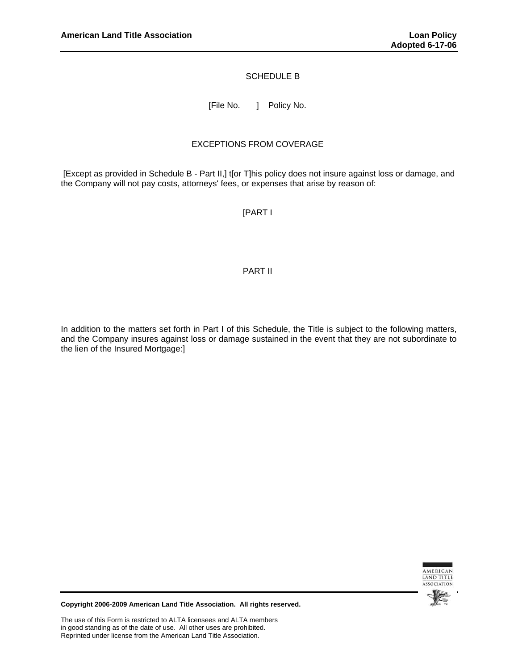# SCHEDULE B

[File No. ] Policy No.

# EXCEPTIONS FROM COVERAGE

 [Except as provided in Schedule B - Part II,] t[or T]his policy does not insure against loss or damage, and the Company will not pay costs, attorneys' fees, or expenses that arise by reason of:

[PART I

### PART II

In addition to the matters set forth in Part I of this Schedule, the Title is subject to the following matters, and the Company insures against loss or damage sustained in the event that they are not subordinate to the lien of the Insured Mortgage:]





**Copyright 2006-2009 American Land Title Association. All rights reserved.**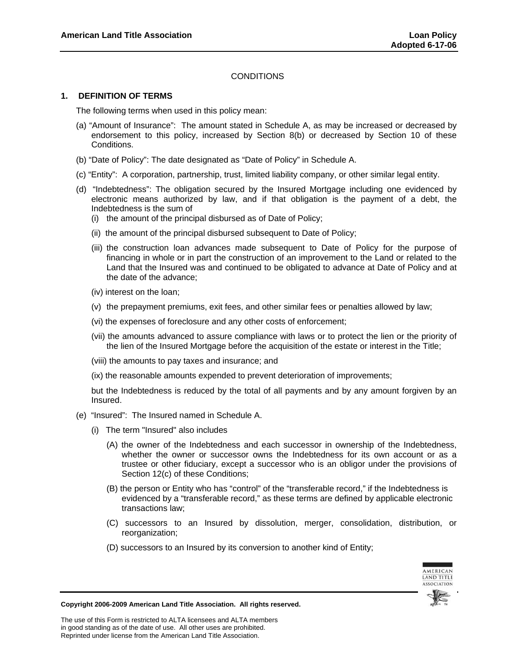# **CONDITIONS**

#### **1. DEFINITION OF TERMS**

The following terms when used in this policy mean:

- (a) "Amount of Insurance": The amount stated in Schedule A, as may be increased or decreased by endorsement to this policy, increased by Section 8(b) or decreased by Section 10 of these Conditions.
- (b) "Date of Policy": The date designated as "Date of Policy" in Schedule A.
- (c) "Entity": A corporation, partnership, trust, limited liability company, or other similar legal entity.
- (d) "Indebtedness": The obligation secured by the Insured Mortgage including one evidenced by electronic means authorized by law, and if that obligation is the payment of a debt, the Indebtedness is the sum of
	- (i) the amount of the principal disbursed as of Date of Policy;
	- (ii) the amount of the principal disbursed subsequent to Date of Policy;
	- (iii) the construction loan advances made subsequent to Date of Policy for the purpose of financing in whole or in part the construction of an improvement to the Land or related to the Land that the Insured was and continued to be obligated to advance at Date of Policy and at the date of the advance;
	- (iv) interest on the loan;
	- (v) the prepayment premiums, exit fees, and other similar fees or penalties allowed by law;
	- (vi) the expenses of foreclosure and any other costs of enforcement;
	- (vii) the amounts advanced to assure compliance with laws or to protect the lien or the priority of the lien of the Insured Mortgage before the acquisition of the estate or interest in the Title;
	- (viii) the amounts to pay taxes and insurance; and
	- (ix) the reasonable amounts expended to prevent deterioration of improvements;

but the Indebtedness is reduced by the total of all payments and by any amount forgiven by an Insured.

- (e) "Insured": The Insured named in Schedule A.
	- (i) The term "Insured" also includes
		- (A) the owner of the Indebtedness and each successor in ownership of the Indebtedness, whether the owner or successor owns the Indebtedness for its own account or as a trustee or other fiduciary, except a successor who is an obligor under the provisions of Section 12(c) of these Conditions;
		- (B) the person or Entity who has "control" of the "transferable record," if the Indebtedness is evidenced by a "transferable record," as these terms are defined by applicable electronic transactions law;
		- (C) successors to an Insured by dissolution, merger, consolidation, distribution, or reorganization;
		- (D) successors to an Insured by its conversion to another kind of Entity;



**Copyright 2006-2009 American Land Title Association. All rights reserved.**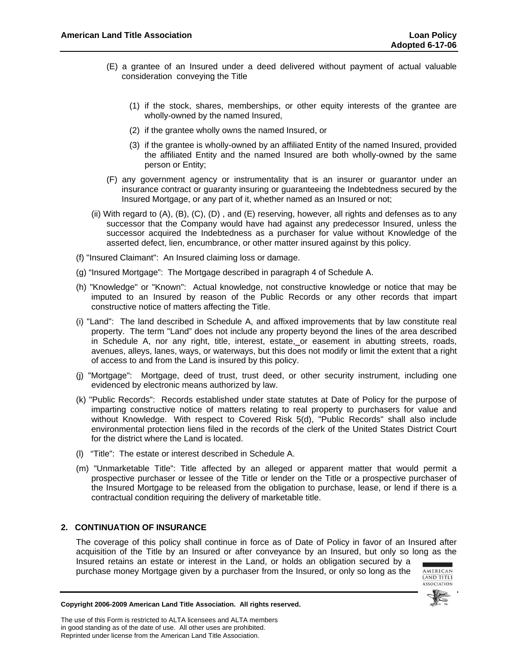- (E) a grantee of an Insured under a deed delivered without payment of actual valuable consideration conveying the Title
	- (1) if the stock, shares, memberships, or other equity interests of the grantee are wholly-owned by the named Insured,
	- (2) if the grantee wholly owns the named Insured, or
	- (3) if the grantee is wholly-owned by an affiliated Entity of the named Insured, provided the affiliated Entity and the named Insured are both wholly-owned by the same person or Entity;
- (F) any government agency or instrumentality that is an insurer or guarantor under an insurance contract or guaranty insuring or guaranteeing the Indebtedness secured by the Insured Mortgage, or any part of it, whether named as an Insured or not;
- (ii) With regard to (A), (B), (C), (D) , and (E) reserving, however, all rights and defenses as to any successor that the Company would have had against any predecessor Insured, unless the successor acquired the Indebtedness as a purchaser for value without Knowledge of the asserted defect, lien, encumbrance, or other matter insured against by this policy.
- (f) "Insured Claimant": An Insured claiming loss or damage.
- (g) "Insured Mortgage": The Mortgage described in paragraph 4 of Schedule A.
- (h) "Knowledge" or "Known": Actual knowledge, not constructive knowledge or notice that may be imputed to an Insured by reason of the Public Records or any other records that impart constructive notice of matters affecting the Title.
- (i) "Land": The land described in Schedule A, and affixed improvements that by law constitute real property. The term "Land" does not include any property beyond the lines of the area described in Schedule A, nor any right, title, interest, estate, or easement in abutting streets, roads, avenues, alleys, lanes, ways, or waterways, but this does not modify or limit the extent that a right of access to and from the Land is insured by this policy.
- (j) "Mortgage": Mortgage, deed of trust, trust deed, or other security instrument, including one evidenced by electronic means authorized by law.
- (k) "Public Records": Records established under state statutes at Date of Policy for the purpose of imparting constructive notice of matters relating to real property to purchasers for value and without Knowledge. With respect to Covered Risk 5(d), "Public Records" shall also include environmental protection liens filed in the records of the clerk of the United States District Court for the district where the Land is located.
- (l) "Title": The estate or interest described in Schedule A.
- (m) "Unmarketable Title": Title affected by an alleged or apparent matter that would permit a prospective purchaser or lessee of the Title or lender on the Title or a prospective purchaser of the Insured Mortgage to be released from the obligation to purchase, lease, or lend if there is a contractual condition requiring the delivery of marketable title.

#### **2. CONTINUATION OF INSURANCE**

The coverage of this policy shall continue in force as of Date of Policy in favor of an Insured after acquisition of the Title by an Insured or after conveyance by an Insured, but only so long as the Insured retains an estate or interest in the Land, or holds an obligation secured by a purchase money Mortgage given by a purchaser from the Insured, or only so long as the



**Copyright 2006-2009 American Land Title Association. All rights reserved.**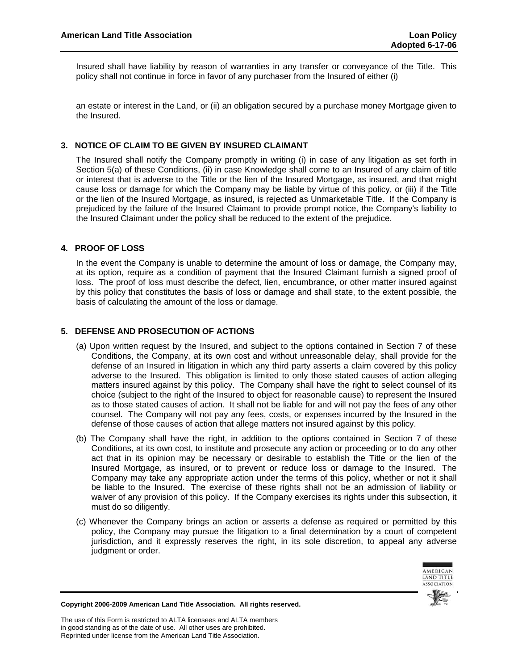Insured shall have liability by reason of warranties in any transfer or conveyance of the Title. This policy shall not continue in force in favor of any purchaser from the Insured of either (i)

an estate or interest in the Land, or (ii) an obligation secured by a purchase money Mortgage given to the Insured.

### **3. NOTICE OF CLAIM TO BE GIVEN BY INSURED CLAIMANT**

The Insured shall notify the Company promptly in writing (i) in case of any litigation as set forth in Section 5(a) of these Conditions, (ii) in case Knowledge shall come to an Insured of any claim of title or interest that is adverse to the Title or the lien of the Insured Mortgage, as insured, and that might cause loss or damage for which the Company may be liable by virtue of this policy, or (iii) if the Title or the lien of the Insured Mortgage, as insured, is rejected as Unmarketable Title. If the Company is prejudiced by the failure of the Insured Claimant to provide prompt notice, the Company's liability to the Insured Claimant under the policy shall be reduced to the extent of the prejudice.

### **4. PROOF OF LOSS**

In the event the Company is unable to determine the amount of loss or damage, the Company may, at its option, require as a condition of payment that the Insured Claimant furnish a signed proof of loss. The proof of loss must describe the defect, lien, encumbrance, or other matter insured against by this policy that constitutes the basis of loss or damage and shall state, to the extent possible, the basis of calculating the amount of the loss or damage.

### **5. DEFENSE AND PROSECUTION OF ACTIONS**

- (a) Upon written request by the Insured, and subject to the options contained in Section 7 of these Conditions, the Company, at its own cost and without unreasonable delay, shall provide for the defense of an Insured in litigation in which any third party asserts a claim covered by this policy adverse to the Insured. This obligation is limited to only those stated causes of action alleging matters insured against by this policy. The Company shall have the right to select counsel of its choice (subject to the right of the Insured to object for reasonable cause) to represent the Insured as to those stated causes of action. It shall not be liable for and will not pay the fees of any other counsel. The Company will not pay any fees, costs, or expenses incurred by the Insured in the defense of those causes of action that allege matters not insured against by this policy.
- (b) The Company shall have the right, in addition to the options contained in Section 7 of these Conditions, at its own cost, to institute and prosecute any action or proceeding or to do any other act that in its opinion may be necessary or desirable to establish the Title or the lien of the Insured Mortgage, as insured, or to prevent or reduce loss or damage to the Insured. The Company may take any appropriate action under the terms of this policy, whether or not it shall be liable to the Insured. The exercise of these rights shall not be an admission of liability or waiver of any provision of this policy. If the Company exercises its rights under this subsection, it must do so diligently.
- (c) Whenever the Company brings an action or asserts a defense as required or permitted by this policy, the Company may pursue the litigation to a final determination by a court of competent jurisdiction, and it expressly reserves the right, in its sole discretion, to appeal any adverse judgment or order.



**Copyright 2006-2009 American Land Title Association. All rights reserved.**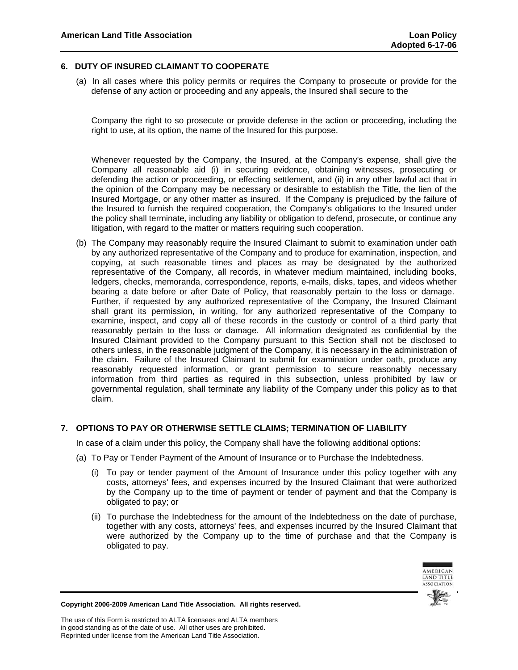### **6. DUTY OF INSURED CLAIMANT TO COOPERATE**

(a) In all cases where this policy permits or requires the Company to prosecute or provide for the defense of any action or proceeding and any appeals, the Insured shall secure to the

Company the right to so prosecute or provide defense in the action or proceeding, including the right to use, at its option, the name of the Insured for this purpose.

Whenever requested by the Company, the Insured, at the Company's expense, shall give the Company all reasonable aid (i) in securing evidence, obtaining witnesses, prosecuting or defending the action or proceeding, or effecting settlement, and (ii) in any other lawful act that in the opinion of the Company may be necessary or desirable to establish the Title, the lien of the Insured Mortgage, or any other matter as insured. If the Company is prejudiced by the failure of the Insured to furnish the required cooperation, the Company's obligations to the Insured under the policy shall terminate, including any liability or obligation to defend, prosecute, or continue any litigation, with regard to the matter or matters requiring such cooperation.

(b) The Company may reasonably require the Insured Claimant to submit to examination under oath by any authorized representative of the Company and to produce for examination, inspection, and copying, at such reasonable times and places as may be designated by the authorized representative of the Company, all records, in whatever medium maintained, including books, ledgers, checks, memoranda, correspondence, reports, e-mails, disks, tapes, and videos whether bearing a date before or after Date of Policy, that reasonably pertain to the loss or damage. Further, if requested by any authorized representative of the Company, the Insured Claimant shall grant its permission, in writing, for any authorized representative of the Company to examine, inspect, and copy all of these records in the custody or control of a third party that reasonably pertain to the loss or damage. All information designated as confidential by the Insured Claimant provided to the Company pursuant to this Section shall not be disclosed to others unless, in the reasonable judgment of the Company, it is necessary in the administration of the claim. Failure of the Insured Claimant to submit for examination under oath, produce any reasonably requested information, or grant permission to secure reasonably necessary information from third parties as required in this subsection, unless prohibited by law or governmental regulation, shall terminate any liability of the Company under this policy as to that claim.

### **7. OPTIONS TO PAY OR OTHERWISE SETTLE CLAIMS; TERMINATION OF LIABILITY**

In case of a claim under this policy, the Company shall have the following additional options:

- (a) To Pay or Tender Payment of the Amount of Insurance or to Purchase the Indebtedness.
	- (i) To pay or tender payment of the Amount of Insurance under this policy together with any costs, attorneys' fees, and expenses incurred by the Insured Claimant that were authorized by the Company up to the time of payment or tender of payment and that the Company is obligated to pay; or
	- (ii) To purchase the Indebtedness for the amount of the Indebtedness on the date of purchase, together with any costs, attorneys' fees, and expenses incurred by the Insured Claimant that were authorized by the Company up to the time of purchase and that the Company is obligated to pay.



**Copyright 2006-2009 American Land Title Association. All rights reserved.**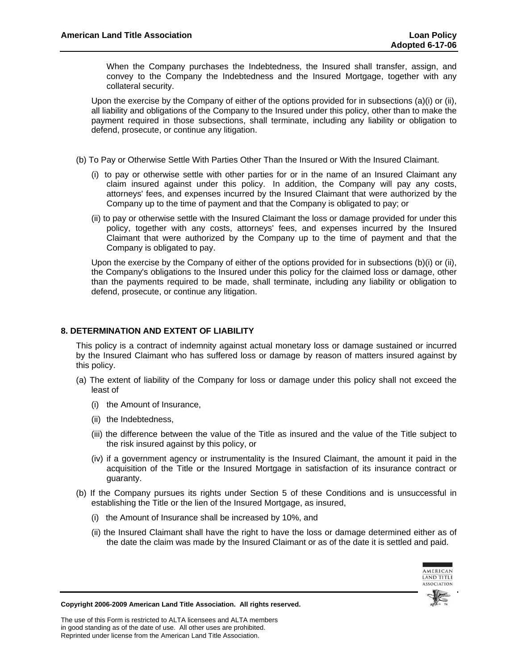When the Company purchases the Indebtedness, the Insured shall transfer, assign, and convey to the Company the Indebtedness and the Insured Mortgage, together with any collateral security.

Upon the exercise by the Company of either of the options provided for in subsections (a)(i) or (ii), all liability and obligations of the Company to the Insured under this policy, other than to make the payment required in those subsections, shall terminate, including any liability or obligation to defend, prosecute, or continue any litigation.

- (b) To Pay or Otherwise Settle With Parties Other Than the Insured or With the Insured Claimant.
	- (i) to pay or otherwise settle with other parties for or in the name of an Insured Claimant any claim insured against under this policy. In addition, the Company will pay any costs, attorneys' fees, and expenses incurred by the Insured Claimant that were authorized by the Company up to the time of payment and that the Company is obligated to pay; or
	- (ii) to pay or otherwise settle with the Insured Claimant the loss or damage provided for under this policy, together with any costs, attorneys' fees, and expenses incurred by the Insured Claimant that were authorized by the Company up to the time of payment and that the Company is obligated to pay.

Upon the exercise by the Company of either of the options provided for in subsections (b)(i) or (ii), the Company's obligations to the Insured under this policy for the claimed loss or damage, other than the payments required to be made, shall terminate, including any liability or obligation to defend, prosecute, or continue any litigation.

### **8. DETERMINATION AND EXTENT OF LIABILITY**

This policy is a contract of indemnity against actual monetary loss or damage sustained or incurred by the Insured Claimant who has suffered loss or damage by reason of matters insured against by this policy.

- (a) The extent of liability of the Company for loss or damage under this policy shall not exceed the least of
	- (i) the Amount of Insurance,
	- (ii) the Indebtedness,
	- (iii) the difference between the value of the Title as insured and the value of the Title subject to the risk insured against by this policy, or
	- (iv) if a government agency or instrumentality is the Insured Claimant, the amount it paid in the acquisition of the Title or the Insured Mortgage in satisfaction of its insurance contract or guaranty.
- (b) If the Company pursues its rights under Section 5 of these Conditions and is unsuccessful in establishing the Title or the lien of the Insured Mortgage, as insured,
	- (i) the Amount of Insurance shall be increased by 10%, and
	- (ii) the Insured Claimant shall have the right to have the loss or damage determined either as of the date the claim was made by the Insured Claimant or as of the date it is settled and paid.



**Copyright 2006-2009 American Land Title Association. All rights reserved.**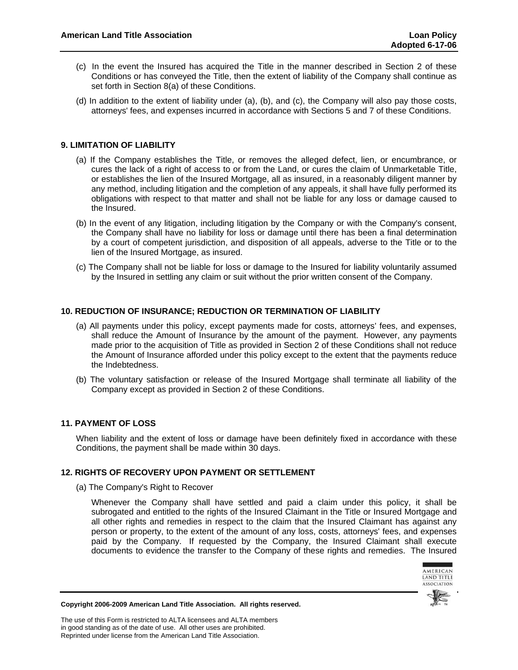- (c) In the event the Insured has acquired the Title in the manner described in Section 2 of these Conditions or has conveyed the Title, then the extent of liability of the Company shall continue as set forth in Section 8(a) of these Conditions.
- (d) In addition to the extent of liability under (a), (b), and (c), the Company will also pay those costs, attorneys' fees, and expenses incurred in accordance with Sections 5 and 7 of these Conditions.

# **9. LIMITATION OF LIABILITY**

- (a) If the Company establishes the Title, or removes the alleged defect, lien, or encumbrance, or cures the lack of a right of access to or from the Land, or cures the claim of Unmarketable Title, or establishes the lien of the Insured Mortgage, all as insured, in a reasonably diligent manner by any method, including litigation and the completion of any appeals, it shall have fully performed its obligations with respect to that matter and shall not be liable for any loss or damage caused to the Insured.
- (b) In the event of any litigation, including litigation by the Company or with the Company's consent, the Company shall have no liability for loss or damage until there has been a final determination by a court of competent jurisdiction, and disposition of all appeals, adverse to the Title or to the lien of the Insured Mortgage, as insured.
- (c) The Company shall not be liable for loss or damage to the Insured for liability voluntarily assumed by the Insured in settling any claim or suit without the prior written consent of the Company.

### **10. REDUCTION OF INSURANCE; REDUCTION OR TERMINATION OF LIABILITY**

- (a) All payments under this policy, except payments made for costs, attorneys' fees, and expenses, shall reduce the Amount of Insurance by the amount of the payment. However, any payments made prior to the acquisition of Title as provided in Section 2 of these Conditions shall not reduce the Amount of Insurance afforded under this policy except to the extent that the payments reduce the Indebtedness.
- (b) The voluntary satisfaction or release of the Insured Mortgage shall terminate all liability of the Company except as provided in Section 2 of these Conditions.

# **11. PAYMENT OF LOSS**

When liability and the extent of loss or damage have been definitely fixed in accordance with these Conditions, the payment shall be made within 30 days.

#### **12. RIGHTS OF RECOVERY UPON PAYMENT OR SETTLEMENT**

(a) The Company's Right to Recover

Whenever the Company shall have settled and paid a claim under this policy, it shall be subrogated and entitled to the rights of the Insured Claimant in the Title or Insured Mortgage and all other rights and remedies in respect to the claim that the Insured Claimant has against any person or property, to the extent of the amount of any loss, costs, attorneys' fees, and expenses paid by the Company. If requested by the Company, the Insured Claimant shall execute documents to evidence the transfer to the Company of these rights and remedies. The Insured



**Copyright 2006-2009 American Land Title Association. All rights reserved.**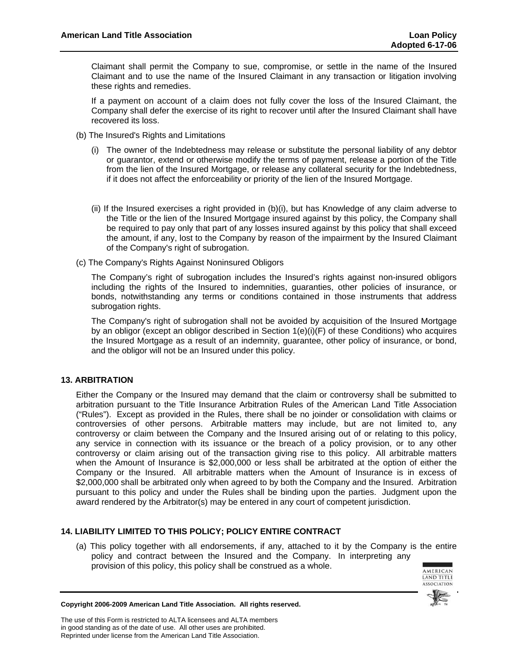Claimant shall permit the Company to sue, compromise, or settle in the name of the Insured Claimant and to use the name of the Insured Claimant in any transaction or litigation involving these rights and remedies.

If a payment on account of a claim does not fully cover the loss of the Insured Claimant, the Company shall defer the exercise of its right to recover until after the Insured Claimant shall have recovered its loss.

- (b) The Insured's Rights and Limitations
	- (i) The owner of the Indebtedness may release or substitute the personal liability of any debtor or guarantor, extend or otherwise modify the terms of payment, release a portion of the Title from the lien of the Insured Mortgage, or release any collateral security for the Indebtedness, if it does not affect the enforceability or priority of the lien of the Insured Mortgage.
	- (ii) If the Insured exercises a right provided in (b)(i), but has Knowledge of any claim adverse to the Title or the lien of the Insured Mortgage insured against by this policy, the Company shall be required to pay only that part of any losses insured against by this policy that shall exceed the amount, if any, lost to the Company by reason of the impairment by the Insured Claimant of the Company's right of subrogation.
- (c) The Company's Rights Against Noninsured Obligors

The Company's right of subrogation includes the Insured's rights against non-insured obligors including the rights of the Insured to indemnities, guaranties, other policies of insurance, or bonds, notwithstanding any terms or conditions contained in those instruments that address subrogation rights.

The Company's right of subrogation shall not be avoided by acquisition of the Insured Mortgage by an obligor (except an obligor described in Section 1(e)(i)(F) of these Conditions) who acquires the Insured Mortgage as a result of an indemnity, guarantee, other policy of insurance, or bond, and the obligor will not be an Insured under this policy.

# **13. ARBITRATION**

Either the Company or the Insured may demand that the claim or controversy shall be submitted to arbitration pursuant to the Title Insurance Arbitration Rules of the American Land Title Association ("Rules"). Except as provided in the Rules, there shall be no joinder or consolidation with claims or controversies of other persons. Arbitrable matters may include, but are not limited to, any controversy or claim between the Company and the Insured arising out of or relating to this policy, any service in connection with its issuance or the breach of a policy provision, or to any other controversy or claim arising out of the transaction giving rise to this policy. All arbitrable matters when the Amount of Insurance is \$2,000,000 or less shall be arbitrated at the option of either the Company or the Insured. All arbitrable matters when the Amount of Insurance is in excess of \$2,000,000 shall be arbitrated only when agreed to by both the Company and the Insured. Arbitration pursuant to this policy and under the Rules shall be binding upon the parties. Judgment upon the award rendered by the Arbitrator(s) may be entered in any court of competent jurisdiction.

# **14. LIABILITY LIMITED TO THIS POLICY; POLICY ENTIRE CONTRACT**

(a) This policy together with all endorsements, if any, attached to it by the Company is the entire policy and contract between the Insured and the Company. In interpreting any provision of this policy, this policy shall be construed as a whole.



**Copyright 2006-2009 American Land Title Association. All rights reserved.**